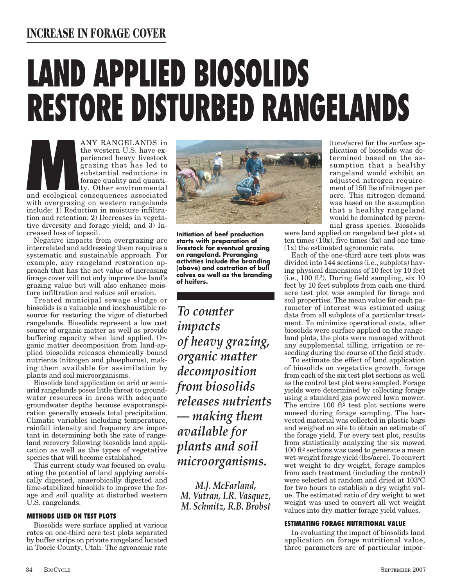# **INCREASE IN FORAGE COVER**

# **LAND APPLIED BIOSOLIDS RESTORE DISTURBED RANGELANDS**

ANY RANGELANDS in<br>the western U.S. have ex-<br>perienced heavy livestock<br>grazing that has led to<br>substantial reductions in<br>forage quality and quanti-<br>ty. Other environmental<br>with overgrazing on western rangelands the western U.S. have experienced heavy livestock grazing that has led to substantial reductions in forage quality and quantity. Other environmental and ecological consequences associated with overgrazing on western rangelands include: 1) Reduction in moisture infiltration and retention; 2) Decreases in vegetative diversity and forage yield; and 3) In-

creased loss of topsoil. Negative impacts from overgrazing are interrelated and addressing them requires a systematic and sustainable approach. For example, any rangeland restoration approach that has the net value of increasing forage cover will not only improve the land's grazing value but will also enhance moisture infiltration and reduce soil erosion.

Treated municipal sewage sludge or biosolids is a valuable and inexhaustible resource for restoring the vigor of disturbed rangelands. Biosolids represent a low cost source of organic matter as well as provide buffering capacity when land applied. Organic matter decomposition from land-applied biosolids releases chemically bound nutrients (nitrogen and phosphorus), making them available for assimilation by plants and soil microorganisms.

Biosolids land application on arid or semiarid rangelands poses little threat to groundwater resources in areas with adequate groundwater depths because evapotranspiration generally exceeds total precipitation. Climatic variables including temperature, rainfall intensity and frequency are important in determining both the rate of rangeland recovery following biosolids land application as well as the types of vegetative species that will become established.

This current study was focused on evaluating the potential of land applying aerobically digested, anaerobically digested and lime-stabilized biosolids to improve the forage and soil quality at disturbed western U.S. rangelands.

## **METHODS USED ON TEST PLOTS**

Biosolids were surface applied at various rates on one-third acre test plots separated by buffer strips on private rangeland located in Tooele County, Utah. The agronomic rate



**Initiation of beef production starts with preparation of livestock for eventual grazing on rangeland. Preranging activities include the branding (above) and castration of bull calves as well as the branding of heifers.**

*To counter impacts of heavy grazing, organic matter decomposition from biosolids releases nutrients — making them available for plants and soil microorganisms.*

*M.J. McFarland, M. Vutran, I.R. Vasquez, M. Schmitz, R.B. Brobst* 

(tons/acre) for the surface application of biosolids was determined based on the assumption that a healthy rangeland would exhibit an adjusted nitrogen requirement of 150 lbs of nitrogen per acre. This nitrogen demand was based on the assumption that a healthy rangeland would be dominated by perennial grass species. Biosolids

were land applied on rangeland test plots at ten times  $(10x)$ , five times  $(5x)$  and one time (1x) the estimated agronomic rate.

Each of the one-third acre test plots was divided into 144 sections (i.e., subplots) having physical dimensions of 10 feet by 10 feet (i.e., 100 ft2). During field sampling, six 10 feet by 10 feet subplots from each one-third acre test plot was sampled for forage and soil properties. The mean value for each parameter of interest was estimated using data from all subplots of a particular treatment. To minimize operational costs, after biosolids were surface applied on the rangeland plots, the plots were managed without any supplemental tilling, irrigation or reseeding during the course of the field study.

To estimate the effect of land application of biosolids on vegetative growth, forage from each of the six test plot sections as well as the control test plot were sampled. Forage yields were determined by collecting forage using a standard gas powered lawn mower. The entire 100  $ft^2$  test plot sections were mowed during forage sampling. The harvested material was collected in plastic bags and weighed on site to obtain an estimate of the forage yield. For every test plot, results from statistically analyzing the six mowed 100 ft2 sections was used to generate a mean wet-weight forage yield (lbs/acre). To convert wet weight to dry weight, forage samples from each treatment (including the control) were selected at random and dried at 103ºC for two hours to establish a dry weight value. The estimated ratio of dry weight to wet weight was used to convert all wet weight values into dry-matter forage yield values.

# **ESTIMATING FORAGE NUTRITIONAL VALUE**

In evaluating the impact of biosolids land application on forage nutritional value, three parameters are of particular impor-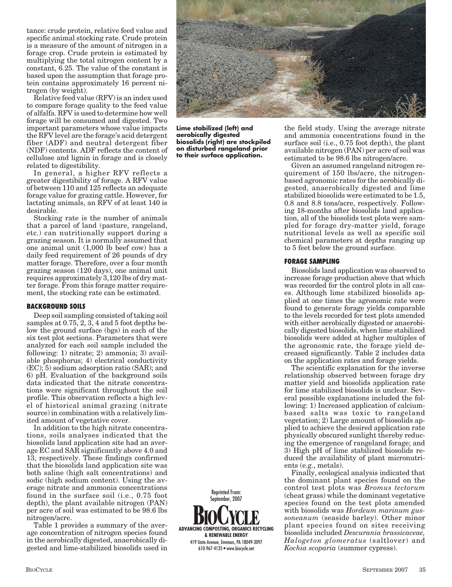tance: crude protein, relative feed value and specific animal stocking rate. Crude protein is a measure of the amount of nitrogen in a forage crop. Crude protein is estimated by multiplying the total nitrogen content by a constant, 6.25. The value of the constant is based upon the assumption that forage protein contains approximately 16 percent nitrogen (by weight).

Relative feed value (RFV) is an index used to compare forage quality to the feed value of alfalfa. RFV is used to determine how well forage will be consumed and digested. Two important parameters whose value impacts the RFV level are the forage's acid detergent fiber (ADF) and neutral detergent fiber (NDF) contents. ADF reflects the content of cellulose and lignin in forage and is closely related to digestibility.

In general, a higher RFV reflects a greater digestibility of forage. A RFV value of between 110 and 125 reflects an adequate forage value for grazing cattle. However, for lactating animals, an RFV of at least 140 is desirable.

Stocking rate is the number of animals that a parcel of land (pasture, rangeland, etc.) can nutritionally support during a grazing season. It is normally assumed that one animal unit (1,000 lb beef cow) has a daily feed requirement of 26 pounds of dry matter forage. Therefore, over a four month grazing season (120 days), one animal unit requires approximately 3,120 lbs of dry matter forage. From this forage matter requirement, the stocking rate can be estimated.

### **BACKGROUND SOILS**

Deep soil sampling consisted of taking soil samples at  $0.75$ ,  $2, 3$ ,  $4$  and  $5$  foot depths below the ground surface (bgs) in each of the six test plot sections. Parameters that were analyzed for each soil sample included the following: 1) nitrate; 2) ammonia; 3) available phosphorus; 4) electrical conductivity (EC); 5) sodium adsorption ratio (SAR); and 6) pH. Evaluation of the background soils data indicated that the nitrate concentrations were significant throughout the soil profile. This observation reflects a high level of historical animal grazing (nitrate source) in combination with a relatively limited amount of vegetative cover.

In addition to the high nitrate concentrations, soils analyses indicated that the biosolids land application site had an average EC and SAR significantly above 4.0 and 13, respectively. These findings confirmed that the biosolids land application site was both saline (high salt concentrations) and sodic (high sodium content). Using the average nitrate and ammonia concentrations found in the surface soil (i.e., 0.75 foot depth), the plant available nitrogen (PAN) per acre of soil was estimated to be 98.6 lbs nitrogen/acre.

Table 1 provides a summary of the average concentration of nitrogen species found in the aerobically digested, anaerobically digested and lime-stabilized biosolids used in



**Lime stabilized (left) and aerobically digested biosolids (right) are stockpiled on disturbed rangeland prior to their surface application.**

**ADVANCING COMPOSTING, ORGANICS RECYCLING & RENEWABLE ENERGY** 419 State Avenue, Emmaus, PA 18049-3097 610-967-4135 • www.biocycle.net September, 2007

Reprinted From:

the field study. Using the average nitrate and ammonia concentrations found in the surface soil (i.e., 0.75 foot depth), the plant available nitrogen (PAN) per acre of soil was estimated to be 98.6 lbs nitrogen/acre.

Given an assumed rangeland nitrogen requirement of 150 lbs/acre, the nitrogenbased agronomic rates for the aerobically digested, anaerobically digested and lime stabilized biosolids were estimated to be 1.5, 0.8 and 8.8 tons/acre, respectively. Following 18-months after biosolids land application, all of the biosolids test plots were sampled for forage dry-matter yield, forage nutritional levels as well as specific soil chemical parameters at depths ranging up to 5 feet below the ground surface.

### **FORAGE SAMPLING**

Biosolids land application was observed to increase forage production above that which was recorded for the control plots in all cases. Although lime stabilized biosolids applied at one times the agronomic rate were found to generate forage yields comparable to the levels recorded for test plots amended with either aerobically digested or anaerobically digested biosolids, when lime stabilized biosolids were added at higher multiples of the agronomic rate, the forage yield decreased significantly. Table 2 includes data on the application rates and forage yields.

The scientific explanation for the inverse relationship observed between forage dry matter yield and biosolids application rate for lime stabilized biosolids is unclear. Several possible explanations included the following: 1) Increased application of calciumbased salts was toxic to rangeland vegetation; 2) Large amount of biosolids applied to achieve the desired application rate physically obscured sunlight thereby reducing the emergence of rangeland forage; and 3) High pH of lime stabilized biosolids reduced the availability of plant micronutrients (e.g., metals).

Finally, ecological analysis indicated that the dominant plant species found on the control test plots was *Bromus tectorum* (cheat grass) while the dominant vegetative species found on the test plots amended with biosolids was *Hordeum marinum gussoneanum* (seaside barley). Other minor plant species found on sites receiving biosolids included *Descurania brassicaceae, Halogeton glomeratus* (saltlover) and *Kochia scoparia* (summer cypress).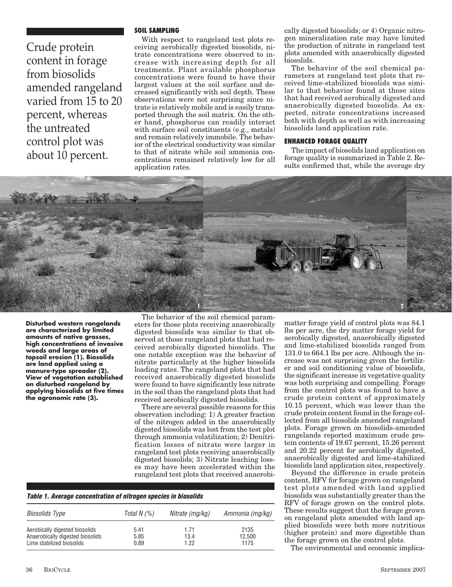Crude protein content in forage from biosolids amended rangeland varied from 15 to 20 percent, whereas the untreated control plot was about 10 percent.

#### **SOIL SAMPLING**

With respect to rangeland test plots receiving aerobically digested biosolids, nitrate concentrations were observed to increase with increasing depth for all treatments. Plant available phosphorus concentrations were found to have their largest values at the soil surface and decreased significantly with soil depth. These observations were not surprising since nitrate is relatively mobile and is easily transported through the soil matrix. On the other hand, phosphorus can readily interact with surface soil constituents (e.g., metals) and remain relatively immobile. The behavior of the electrical conductivity was similar to that of nitrate while soil ammonia concentrations remained relatively low for all application rates.

cally digested biosolids; or 4) Organic nitrogen mineralization rate may have limited the production of nitrate in rangeland test plots amended with anaerobically digested biosolids.

The behavior of the soil chemical parameters at rangeland test plots that received lime-stabilized biosolids was similar to that behavior found at those sites that had received aerobically digested and anaerobically digested biosolids. As expected, nitrate concentrations increased both with depth as well as with increasing biosolids land application rate.

#### **ENHANCED FORAGE QUALITY**

The impact of biosolids land application on forage quality is summarized in Table 2. Results confirmed that, while the average dry



**Disturbed western rangelands are characterized by limited amounts of native grasses, high concentrations of invasive weeds and large areas of topsoil erosion (1). Biosolids are land applied using a manure-type spreader (2). View of vegetation established on disturbed rangeland by applying biosolids at five times the agronomic rate (3).** 

The behavior of the soil chemical parameters for those plots receiving anaerobically digested biosolids was similar to that observed at those rangeland plots that had received aerobically digested biosolids. The one notable exception was the behavior of nitrate particularly at the higher biosolids loading rates. The rangeland plots that had received anaerobically digested biosolids were found to have significantly less nitrate in the soil than the rangeland plots that had received aerobically digested biosolids.

There are several possible reasons for this observation including: 1) A greater fraction of the nitrogen added in the anaerobically digested biosolids was lost from the test plot through ammonia volatilization; 2) Denitrification losses of nitrate were larger in rangeland test plots receiving anaerobically digested biosolids; 3) Nitrate leaching losses may have been accelerated within the rangeland test plots that received anaerobi-

|  | Table 1. Average concentration of nitrogen species in biosolids |  |  |
|--|-----------------------------------------------------------------|--|--|
|  |                                                                 |  |  |

| Biosolids Type                   | Total N (%) | Nitrate (mg/kg) | Ammonia (mg/kg) |
|----------------------------------|-------------|-----------------|-----------------|
| Aerobically digested biosolids   | 5.41        | 1.71            | 2135            |
| Anaerobically digested biosolids | 5.85        | 13.4            | 12.500          |
| Lime stabilized biosolids        | 0.89        | 1 22            | 1175            |

matter forage yield of control plots was 84.1 lbs per acre, the dry matter forage yield for aerobically digested, anaerobically digested and lime-stabilized biosolids ranged from 131.0 to 664.1 lbs per acre. Although the increase was not surprising given the fertilizer and soil conditioning value of biosolids, the significant increase in vegetative quality was both surprising and compelling. Forage from the control plots was found to have a crude protein content of approximately 10.15 percent, which was lower than the crude protein content found in the forage collected from all biosolids amended rangeland plots. Forage grown on biosolids-amended rangelands reported maximum crude protein contents of 19.67 percent, 15.26 percent and 20.22 percent for aerobically digested, anaerobically digested and lime-stabilized biosolids land application sites, respectively.

Beyond the difference in crude protein content, RFV for forage grown on rangeland test plots amended with land applied biosolids was substantially greater than the RFV of forage grown on the control plots. These results suggest that the forage grown on rangeland plots amended with land applied biosolids were both more nutritious (higher protein) and more digestible than the forage grown on the control plots.

The environmental and economic implica-